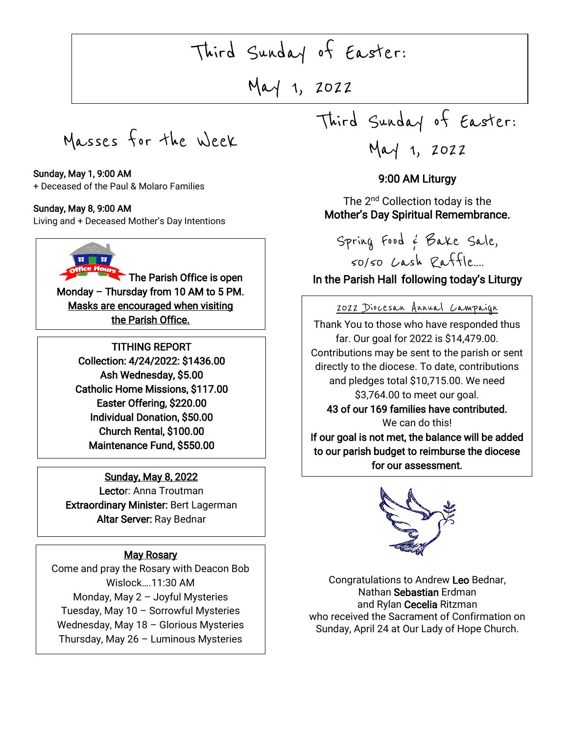# $\overline{\phantom{a}}$ Third Sunday of Easter:

May 1, 2022

Masses for the Week

#### Sunday, May 1, 9:00 AM

+ Deceased of the Paul & Molaro Families

#### Sunday, May 8, 9:00 AM

Living and + Deceased Mother's Day Intentions

The Parish Office is open Monday – Thursday from 10 AM to 5 PM. Masks are encouraged when visiting the Parish Office.

> TITHING REPORT Collection: 4/24/2022: \$1436.00 Ash Wednesday, \$5.00 Catholic Home Missions, \$117.00 Easter Offering, \$220.00 Individual Donation, \$50.00 Church Rental, \$100.00 Maintenance Fund, \$550.00

Sunday, May 8, 2022 Lector: Anna Troutman Extraordinary Minister: Bert Lagerman Altar Server: Ray Bednar

### **May Rosary**

Come and pray the Rosary with Deacon Bob Wislock….11:30 AM Monday, May 2 – Joyful Mysteries Tuesday, May 10 – Sorrowful Mysteries Wednesday, May 18 – Glorious Mysteries Thursday, May 26 – Luminous Mysteries

Third Sunday of Easter:

May 1, 2022

## 9:00 AM Liturgy

The 2<sup>nd</sup> Collection today is the Mother's Day Spiritual Remembrance.

Spring Food & Bake Sale, 50/50 Cash Raffle….

# In the Parish Hall following today's Liturgy

 2022 Diocesan Annual Campaign Thank You to those who have responded thus far. Our goal for 2022 is \$14,479.00. directly to the diocese. To date, contributions j 43 of our 169 families have contributed. Contributions may be sent to the parish or sent and pledges total \$10,715.00. We need \$3,764.00 to meet our goal.

We can do this!<br>**Exact the belon**e

 to our parish budget to reimburse the diocese for our assessment. If our goal is not met, the balance will be added



Congratulations to Andrew Leo Bednar, Nathan Sebastian [Erd](https://creativecommons.org/licenses/by-nc/3.0/)man and [Rylan C](https://creativecommons.org/licenses/by-nc/3.0/)ecelia Ritzman who received the Sacrament of Confirmation on Sunday, April 24 at Our Lady of Hope Church.